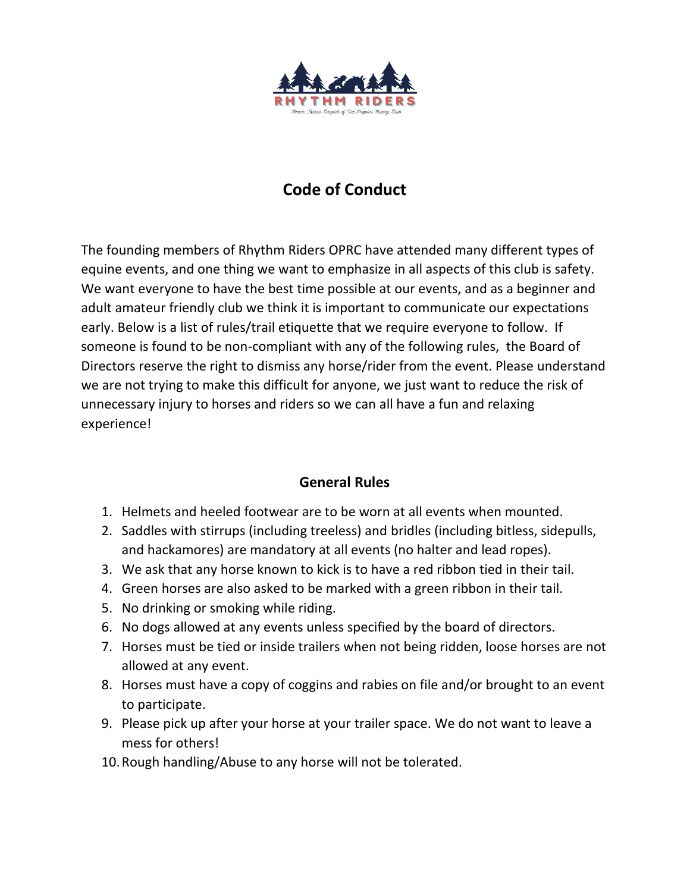

## **Code of Conduct**

The founding members of Rhythm Riders OPRC have attended many different types of equine events, and one thing we want to emphasize in all aspects of this club is safety. We want everyone to have the best time possible at our events, and as a beginner and adult amateur friendly club we think it is important to communicate our expectations early. Below is a list of rules/trail etiquette that we require everyone to follow. If someone is found to be non-compliant with any of the following rules, the Board of Directors reserve the right to dismiss any horse/rider from the event. Please understand we are not trying to make this difficult for anyone, we just want to reduce the risk of unnecessary injury to horses and riders so we can all have a fun and relaxing experience!

## **General Rules**

- 1. Helmets and heeled footwear are to be worn at all events when mounted.
- 2. Saddles with stirrups (including treeless) and bridles (including bitless, sidepulls, and hackamores) are mandatory at all events (no halter and lead ropes).
- 3. We ask that any horse known to kick is to have a red ribbon tied in their tail.
- 4. Green horses are also asked to be marked with a green ribbon in their tail.
- 5. No drinking or smoking while riding.
- 6. No dogs allowed at any events unless specified by the board of directors.
- 7. Horses must be tied or inside trailers when not being ridden, loose horses are not allowed at any event.
- 8. Horses must have a copy of coggins and rabies on file and/or brought to an event to participate.
- 9. Please pick up after your horse at your trailer space. We do not want to leave a mess for others!
- 10.Rough handling/Abuse to any horse will not be tolerated.